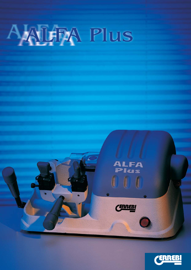